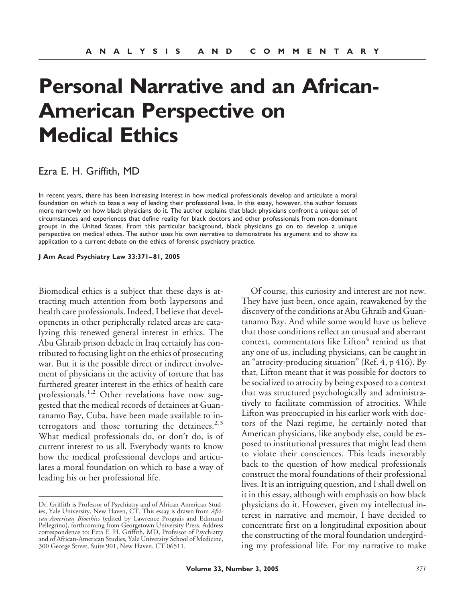# **Personal Narrative and an African-American Perspective on Medical Ethics**

Ezra E. H. Griffith, MD

In recent years, there has been increasing interest in how medical professionals develop and articulate a moral foundation on which to base a way of leading their professional lives. In this essay, however, the author focuses more narrowly on how black physicians do it. The author explains that black physicians confront a unique set of circumstances and experiences that define reality for black doctors and other professionals from non-dominant groups in the United States. From this particular background, black physicians go on to develop a unique perspective on medical ethics. The author uses his own narrative to demonstrate his argument and to show its application to a current debate on the ethics of forensic psychiatry practice.

**J Am Acad Psychiatry Law 33:371– 81, 2005**

Biomedical ethics is a subject that these days is attracting much attention from both laypersons and health care professionals. Indeed, I believe that developments in other peripherally related areas are catalyzing this renewed general interest in ethics. The Abu Ghraib prison debacle in Iraq certainly has contributed to focusing light on the ethics of prosecuting war. But it is the possible direct or indirect involvement of physicians in the activity of torture that has furthered greater interest in the ethics of health care professionals.<sup>1,2</sup> Other revelations have now suggested that the medical records of detainees at Guantanamo Bay, Cuba, have been made available to interrogators and those torturing the detainees.<sup>2,3</sup> What medical professionals do, or don't do, is of current interest to us all. Everybody wants to know how the medical professional develops and articulates a moral foundation on which to base a way of leading his or her professional life.

Of course, this curiosity and interest are not new. They have just been, once again, reawakened by the discovery of the conditions at Abu Ghraib and Guantanamo Bay. And while some would have us believe that those conditions reflect an unusual and aberrant context, commentators like  $Lifton<sup>4</sup>$  remind us that any one of us, including physicians, can be caught in an "atrocity-producing situation" (Ref. 4, p 416). By that, Lifton meant that it was possible for doctors to be socialized to atrocity by being exposed to a context that was structured psychologically and administratively to facilitate commission of atrocities. While Lifton was preoccupied in his earlier work with doctors of the Nazi regime, he certainly noted that American physicians, like anybody else, could be exposed to institutional pressures that might lead them to violate their consciences. This leads inexorably back to the question of how medical professionals construct the moral foundations of their professional lives. It is an intriguing question, and I shall dwell on it in this essay, although with emphasis on how black physicians do it. However, given my intellectual interest in narrative and memoir, I have decided to concentrate first on a longitudinal exposition about the constructing of the moral foundation undergirding my professional life. For my narrative to make

Dr. Griffith is Professor of Psychiatry and of African-American Studies, Yale University, New Haven, CT. This essay is drawn from *African-American Bioethics* (edited by Lawrence Prograis and Edmund Pellegrino), forthcoming from Georgetown University Press. Address correspondence to: Ezra E. H. Griffith, MD, Professor of Psychiatry and of African-American Studies, Yale University School of Medicine, 300 George Street, Suite 901, New Haven, CT 06511.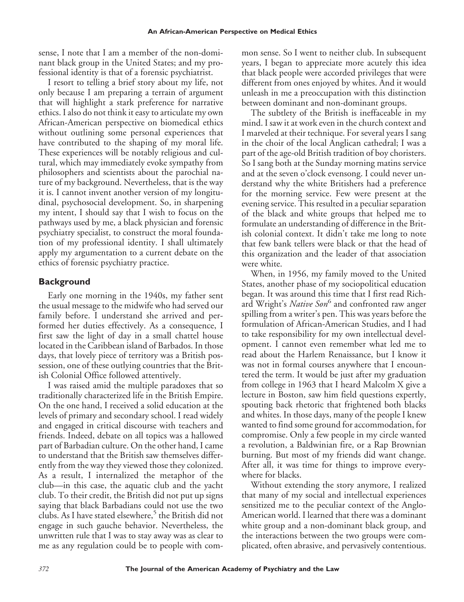sense, I note that I am a member of the non-dominant black group in the United States; and my professional identity is that of a forensic psychiatrist.

I resort to telling a brief story about my life, not only because I am preparing a terrain of argument that will highlight a stark preference for narrative ethics. I also do not think it easy to articulate my own African-American perspective on biomedical ethics without outlining some personal experiences that have contributed to the shaping of my moral life. These experiences will be notably religious and cultural, which may immediately evoke sympathy from philosophers and scientists about the parochial nature of my background. Nevertheless, that is the way it is. I cannot invent another version of my longitudinal, psychosocial development. So, in sharpening my intent, I should say that I wish to focus on the pathways used by me, a black physician and forensic psychiatry specialist, to construct the moral foundation of my professional identity. I shall ultimately apply my argumentation to a current debate on the ethics of forensic psychiatry practice.

## **Background**

Early one morning in the 1940s, my father sent the usual message to the midwife who had served our family before. I understand she arrived and performed her duties effectively. As a consequence, I first saw the light of day in a small chattel house located in the Caribbean island of Barbados. In those days, that lovely piece of territory was a British possession, one of these outlying countries that the British Colonial Office followed attentively.

I was raised amid the multiple paradoxes that so traditionally characterized life in the British Empire. On the one hand, I received a solid education at the levels of primary and secondary school. I read widely and engaged in critical discourse with teachers and friends. Indeed, debate on all topics was a hallowed part of Barbadian culture. On the other hand, I came to understand that the British saw themselves differently from the way they viewed those they colonized. As a result, I internalized the metaphor of the club—in this case, the aquatic club and the yacht club. To their credit, the British did not put up signs saying that black Barbadians could not use the two clubs. As I have stated elsewhere,<sup>5</sup> the British did not engage in such gauche behavior. Nevertheless, the unwritten rule that I was to stay away was as clear to me as any regulation could be to people with common sense. So I went to neither club. In subsequent years, I began to appreciate more acutely this idea that black people were accorded privileges that were different from ones enjoyed by whites. And it would unleash in me a preoccupation with this distinction between dominant and non-dominant groups.

The subtlety of the British is ineffaceable in my mind. I saw it at work even in the church context and I marveled at their technique. For several years I sang in the choir of the local Anglican cathedral; I was a part of the age-old British tradition of boy choristers. So I sang both at the Sunday morning matins service and at the seven o'clock evensong. I could never understand why the white Britishers had a preference for the morning service. Few were present at the evening service. This resulted in a peculiar separation of the black and white groups that helped me to formulate an understanding of difference in the British colonial context. It didn't take me long to note that few bank tellers were black or that the head of this organization and the leader of that association were white.

When, in 1956, my family moved to the United States, another phase of my sociopolitical education began. It was around this time that I first read Richard Wright's *Native Son*<sup>6</sup> and confronted raw anger spilling from a writer's pen. This was years before the formulation of African-American Studies, and I had to take responsibility for my own intellectual development. I cannot even remember what led me to read about the Harlem Renaissance, but I know it was not in formal courses anywhere that I encountered the term. It would be just after my graduation from college in 1963 that I heard Malcolm X give a lecture in Boston, saw him field questions expertly, spouting back rhetoric that frightened both blacks and whites. In those days, many of the people I knew wanted to find some ground for accommodation, for compromise. Only a few people in my circle wanted a revolution, a Baldwinian fire, or a Rap Brownian burning. But most of my friends did want change. After all, it was time for things to improve everywhere for blacks.

Without extending the story anymore, I realized that many of my social and intellectual experiences sensitized me to the peculiar context of the Anglo-American world. I learned that there was a dominant white group and a non-dominant black group, and the interactions between the two groups were complicated, often abrasive, and pervasively contentious.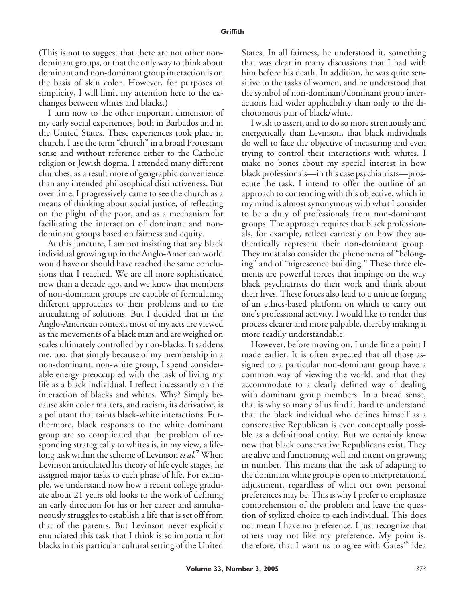(This is not to suggest that there are not other nondominant groups, or that the only way to think about dominant and non-dominant group interaction is on the basis of skin color. However, for purposes of simplicity, I will limit my attention here to the exchanges between whites and blacks.)

I turn now to the other important dimension of my early social experiences, both in Barbados and in the United States. These experiences took place in church. I use the term "church" in a broad Protestant sense and without reference either to the Catholic religion or Jewish dogma. I attended many different churches, as a result more of geographic convenience than any intended philosophical distinctiveness. But over time, I progressively came to see the church as a means of thinking about social justice, of reflecting on the plight of the poor, and as a mechanism for facilitating the interaction of dominant and nondominant groups based on fairness and equity.

At this juncture, I am not insisting that any black individual growing up in the Anglo-American world would have or should have reached the same conclusions that I reached. We are all more sophisticated now than a decade ago, and we know that members of non-dominant groups are capable of formulating different approaches to their problems and to the articulating of solutions. But I decided that in the Anglo-American context, most of my acts are viewed as the movements of a black man and are weighed on scales ultimately controlled by non-blacks. It saddens me, too, that simply because of my membership in a non-dominant, non-white group, I spend considerable energy preoccupied with the task of living my life as a black individual. I reflect incessantly on the interaction of blacks and whites. Why? Simply because skin color matters, and racism, its derivative, is a pollutant that taints black-white interactions. Furthermore, black responses to the white dominant group are so complicated that the problem of responding strategically to whites is, in my view, a lifelong task within the scheme of Levinson *et al*. <sup>7</sup> When Levinson articulated his theory of life cycle stages, he assigned major tasks to each phase of life. For example, we understand now how a recent college graduate about 21 years old looks to the work of defining an early direction for his or her career and simultaneously struggles to establish a life that is set off from that of the parents. But Levinson never explicitly enunciated this task that I think is so important for blacks in this particular cultural setting of the United

States. In all fairness, he understood it, something that was clear in many discussions that I had with him before his death. In addition, he was quite sensitive to the tasks of women, and he understood that the symbol of non-dominant/dominant group interactions had wider applicability than only to the dichotomous pair of black/white.

I wish to assert, and to do so more strenuously and energetically than Levinson, that black individuals do well to face the objective of measuring and even trying to control their interactions with whites. I make no bones about my special interest in how black professionals—in this case psychiatrists—prosecute the task. I intend to offer the outline of an approach to contending with this objective, which in my mind is almost synonymous with what I consider to be a duty of professionals from non-dominant groups. The approach requires that black professionals, for example, reflect earnestly on how they authentically represent their non-dominant group. They must also consider the phenomena of "belonging" and of "nigrescence building." These three elements are powerful forces that impinge on the way black psychiatrists do their work and think about their lives. These forces also lead to a unique forging of an ethics-based platform on which to carry out one's professional activity. I would like to render this process clearer and more palpable, thereby making it more readily understandable.

However, before moving on, I underline a point I made earlier. It is often expected that all those assigned to a particular non-dominant group have a common way of viewing the world, and that they accommodate to a clearly defined way of dealing with dominant group members. In a broad sense, that is why so many of us find it hard to understand that the black individual who defines himself as a conservative Republican is even conceptually possible as a definitional entity. But we certainly know now that black conservative Republicans exist. They are alive and functioning well and intent on growing in number. This means that the task of adapting to the dominant white group is open to interpretational adjustment, regardless of what our own personal preferences may be. This is why I prefer to emphasize comprehension of the problem and leave the question of stylized choice to each individual. This does not mean I have no preference. I just recognize that others may not like my preference. My point is, therefore, that I want us to agree with Gates<sup>'8</sup> idea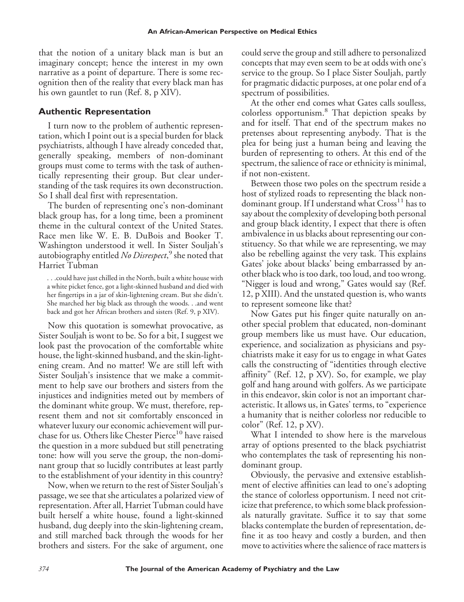that the notion of a unitary black man is but an imaginary concept; hence the interest in my own narrative as a point of departure. There is some recognition then of the reality that every black man has his own gauntlet to run (Ref. 8, p XIV).

### **Authentic Representation**

I turn now to the problem of authentic representation, which I point out is a special burden for black psychiatrists, although I have already conceded that, generally speaking, members of non-dominant groups must come to terms with the task of authentically representing their group. But clear understanding of the task requires its own deconstruction. So I shall deal first with representation.

The burden of representing one's non-dominant black group has, for a long time, been a prominent theme in the cultural context of the United States. Race men like W. E. B. DuBois and Booker T. Washington understood it well. In Sister Souljah's autobiography entitled *No Disrespect*, <sup>9</sup> she noted that Harriet Tubman

Now this quotation is somewhat provocative, as Sister Souljah is wont to be. So for a bit, I suggest we look past the provocation of the comfortable white house, the light-skinned husband, and the skin-lightening cream. And no matter! We are still left with Sister Souljah's insistence that we make a commitment to help save our brothers and sisters from the injustices and indignities meted out by members of the dominant white group. We must, therefore, represent them and not sit comfortably ensconced in whatever luxury our economic achievement will purchase for us. Others like Chester Pierce<sup>10</sup> have raised the question in a more subdued but still penetrating tone: how will you serve the group, the non-dominant group that so lucidly contributes at least partly to the establishment of your identity in this country?

Now, when we return to the rest of Sister Souljah's passage, we see that she articulates a polarized view of representation. After all, Harriet Tubman could have built herself a white house, found a light-skinned husband, dug deeply into the skin-lightening cream, and still marched back through the woods for her brothers and sisters. For the sake of argument, one

could serve the group and still adhere to personalized concepts that may even seem to be at odds with one's service to the group. So I place Sister Souljah, partly for pragmatic didactic purposes, at one polar end of a spectrum of possibilities.

At the other end comes what Gates calls soulless, colorless opportunism.<sup>8</sup> That depiction speaks by and for itself. That end of the spectrum makes no pretenses about representing anybody. That is the plea for being just a human being and leaving the burden of representing to others. At this end of the spectrum, the salience of race or ethnicity is minimal, if not non-existent.

Between those two poles on the spectrum reside a host of stylized roads to representing the black nondominant group. If I understand what  $Cross<sup>11</sup>$  has to say about the complexity of developing both personal and group black identity, I expect that there is often ambivalence in us blacks about representing our constituency. So that while we are representing, we may also be rebelling against the very task. This explains Gates' joke about blacks' being embarrassed by another black who is too dark, too loud, and too wrong. "Nigger is loud and wrong," Gates would say (Ref. 12, p XIII). And the unstated question is, who wants to represent someone like that?

Now Gates put his finger quite naturally on another special problem that educated, non-dominant group members like us must have. Our education, experience, and socialization as physicians and psychiatrists make it easy for us to engage in what Gates calls the constructing of "identities through elective affinity" (Ref. 12, p XV). So, for example, we play golf and hang around with golfers. As we participate in this endeavor, skin color is not an important characteristic. It allows us, in Gates' terms, to "experience a humanity that is neither colorless nor reducible to color" (Ref. 12, p XV).

What I intended to show here is the marvelous array of options presented to the black psychiatrist who contemplates the task of representing his nondominant group.

Obviously, the pervasive and extensive establishment of elective affinities can lead to one's adopting the stance of colorless opportunism. I need not criticize that preference, to which some black professionals naturally gravitate. Suffice it to say that some blacks contemplate the burden of representation, define it as too heavy and costly a burden, and then move to activities where the salience of race matters is

<sup>. . .</sup>could have just chilled in the North, built a white house with a white picket fence, got a light-skinned husband and died with her fingertips in a jar of skin-lightening cream. But she didn't. She marched her big black ass through the woods. . .and went back and got her African brothers and sisters (Ref. 9, p XIV).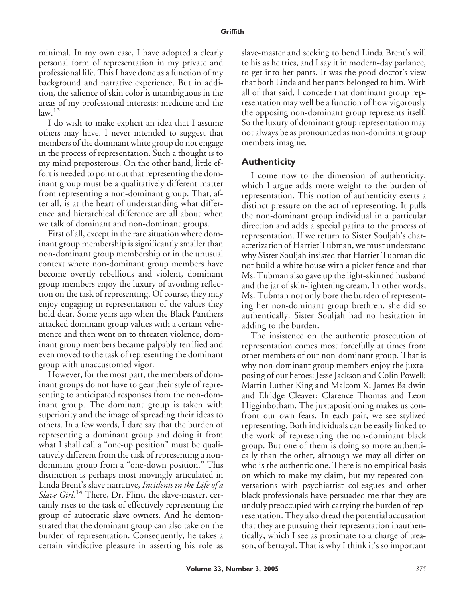#### **Griffith**

minimal. In my own case, I have adopted a clearly personal form of representation in my private and professional life. This I have done as a function of my background and narrative experience. But in addition, the salience of skin color is unambiguous in the areas of my professional interests: medicine and the  $law.<sup>13</sup>$ 

I do wish to make explicit an idea that I assume others may have. I never intended to suggest that members of the dominant white group do not engage in the process of representation. Such a thought is to my mind preposterous. On the other hand, little effort is needed to point out that representing the dominant group must be a qualitatively different matter from representing a non-dominant group. That, after all, is at the heart of understanding what difference and hierarchical difference are all about when we talk of dominant and non-dominant groups.

First of all, except in the rare situation where dominant group membership is significantly smaller than non-dominant group membership or in the unusual context where non-dominant group members have become overtly rebellious and violent, dominant group members enjoy the luxury of avoiding reflection on the task of representing. Of course, they may enjoy engaging in representation of the values they hold dear. Some years ago when the Black Panthers attacked dominant group values with a certain vehemence and then went on to threaten violence, dominant group members became palpably terrified and even moved to the task of representing the dominant group with unaccustomed vigor.

However, for the most part, the members of dominant groups do not have to gear their style of representing to anticipated responses from the non-dominant group. The dominant group is taken with superiority and the image of spreading their ideas to others. In a few words, I dare say that the burden of representing a dominant group and doing it from what I shall call a "one-up position" must be qualitatively different from the task of representing a nondominant group from a "one-down position." This distinction is perhaps most movingly articulated in Linda Brent's slave narrative, *Incidents in the Life of a Slave Girl.*<sup>14</sup> There, Dr. Flint, the slave-master, certainly rises to the task of effectively representing the group of autocratic slave owners. And he demonstrated that the dominant group can also take on the burden of representation. Consequently, he takes a certain vindictive pleasure in asserting his role as

slave-master and seeking to bend Linda Brent's will to his as he tries, and I say it in modern-day parlance, to get into her pants. It was the good doctor's view that both Linda and her pants belonged to him. With all of that said, I concede that dominant group representation may well be a function of how vigorously the opposing non-dominant group represents itself. So the luxury of dominant group representation may not always be as pronounced as non-dominant group members imagine.

#### **Authenticity**

I come now to the dimension of authenticity, which I argue adds more weight to the burden of representation. This notion of authenticity exerts a distinct pressure on the act of representing. It pulls the non-dominant group individual in a particular direction and adds a special patina to the process of representation. If we return to Sister Souljah's characterization of Harriet Tubman, we must understand why Sister Souljah insisted that Harriet Tubman did not build a white house with a picket fence and that Ms. Tubman also gave up the light-skinned husband and the jar of skin-lightening cream. In other words, Ms. Tubman not only bore the burden of representing her non-dominant group brethren, she did so authentically. Sister Souljah had no hesitation in adding to the burden.

The insistence on the authentic prosecution of representation comes most forcefully at times from other members of our non-dominant group. That is why non-dominant group members enjoy the juxtaposing of our heroes: Jesse Jackson and Colin Powell; Martin Luther King and Malcom X; James Baldwin and Elridge Cleaver; Clarence Thomas and Leon Higginbotham. The juxtapositioning makes us confront our own fears. In each pair, we see stylized representing. Both individuals can be easily linked to the work of representing the non-dominant black group. But one of them is doing so more authentically than the other, although we may all differ on who is the authentic one. There is no empirical basis on which to make my claim, but my repeated conversations with psychiatrist colleagues and other black professionals have persuaded me that they are unduly preoccupied with carrying the burden of representation. They also dread the potential accusation that they are pursuing their representation inauthentically, which I see as proximate to a charge of treason, of betrayal. That is why I think it's so important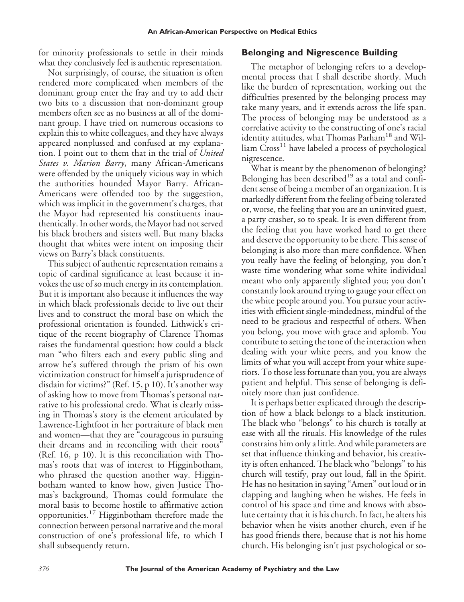for minority professionals to settle in their minds what they conclusively feel is authentic representation.

Not surprisingly, of course, the situation is often rendered more complicated when members of the dominant group enter the fray and try to add their two bits to a discussion that non-dominant group members often see as no business at all of the dominant group. I have tried on numerous occasions to explain this to white colleagues, and they have always appeared nonplussed and confused at my explanation. I point out to them that in the trial of *United States v. Marion Barry*, many African-Americans were offended by the uniquely vicious way in which the authorities hounded Mayor Barry. African-Americans were offended too by the suggestion, which was implicit in the government's charges, that the Mayor had represented his constituents inauthentically. In other words, the Mayor had not served his black brothers and sisters well. But many blacks thought that whites were intent on imposing their views on Barry's black constituents.

This subject of authentic representation remains a topic of cardinal significance at least because it invokes the use of so much energy in its contemplation. But it is important also because it influences the way in which black professionals decide to live out their lives and to construct the moral base on which the professional orientation is founded. Lithwick's critique of the recent biography of Clarence Thomas raises the fundamental question: how could a black man "who filters each and every public sling and arrow he's suffered through the prism of his own victimization construct for himself a jurisprudence of disdain for victims?" (Ref. 15, p 10). It's another way of asking how to move from Thomas's personal narrative to his professional credo. What is clearly missing in Thomas's story is the element articulated by Lawrence-Lightfoot in her portraiture of black men and women—that they are "courageous in pursuing their dreams and in reconciling with their roots" (Ref. 16, p 10). It is this reconciliation with Thomas's roots that was of interest to Higginbotham, who phrased the question another way. Higginbotham wanted to know how, given Justice Thomas's background, Thomas could formulate the moral basis to become hostile to affirmative action opportunities.<sup>17</sup> Higginbotham therefore made the connection between personal narrative and the moral construction of one's professional life, to which I shall subsequently return.

## **Belonging and Nigrescence Building**

The metaphor of belonging refers to a developmental process that I shall describe shortly. Much like the burden of representation, working out the difficulties presented by the belonging process may take many years, and it extends across the life span. The process of belonging may be understood as a correlative activity to the constructing of one's racial identity attitudes, what Thomas Parham<sup>18</sup> and Wil- $\lim \check{C}$ ross<sup>11</sup> have labeled a process of psychological nigrescence.

What is meant by the phenomenon of belonging? Belonging has been described $19$  as a total and confident sense of being a member of an organization. It is markedly different from the feeling of being tolerated or, worse, the feeling that you are an uninvited guest, a party crasher, so to speak. It is even different from the feeling that you have worked hard to get there and deserve the opportunity to be there. This sense of belonging is also more than mere confidence. When you really have the feeling of belonging, you don't waste time wondering what some white individual meant who only apparently slighted you; you don't constantly look around trying to gauge your effect on the white people around you. You pursue your activities with efficient single-mindedness, mindful of the need to be gracious and respectful of others. When you belong, you move with grace and aplomb. You contribute to setting the tone of the interaction when dealing with your white peers, and you know the limits of what you will accept from your white superiors. To those less fortunate than you, you are always patient and helpful. This sense of belonging is definitely more than just confidence.

It is perhaps better explicated through the description of how a black belongs to a black institution. The black who "belongs" to his church is totally at ease with all the rituals. His knowledge of the rules constrains him only a little. And while parameters are set that influence thinking and behavior, his creativity is often enhanced. The black who "belongs" to his church will testify, pray out loud, fall in the Spirit. He has no hesitation in saying "Amen" out loud or in clapping and laughing when he wishes. He feels in control of his space and time and knows with absolute certainty that it is his church. In fact, he alters his behavior when he visits another church, even if he has good friends there, because that is not his home church. His belonging isn't just psychological or so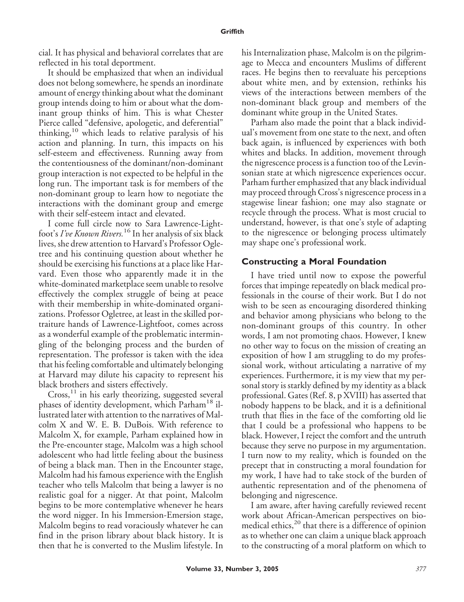cial. It has physical and behavioral correlates that are reflected in his total deportment.

It should be emphasized that when an individual does not belong somewhere, he spends an inordinate amount of energy thinking about what the dominant group intends doing to him or about what the dominant group thinks of him. This is what Chester Pierce called "defensive, apologetic, and deferential" thinking,  $10$  which leads to relative paralysis of his action and planning. In turn, this impacts on his self-esteem and effectiveness. Running away from the contentiousness of the dominant/non-dominant group interaction is not expected to be helpful in the long run. The important task is for members of the non-dominant group to learn how to negotiate the interactions with the dominant group and emerge with their self-esteem intact and elevated.

I come full circle now to Sara Lawrence-Lightfoot's *I've Known Rivers.*<sup>16</sup> In her analysis of six black lives, she drew attention to Harvard's Professor Ogletree and his continuing question about whether he should be exercising his functions at a place like Harvard. Even those who apparently made it in the white-dominated marketplace seem unable to resolve effectively the complex struggle of being at peace with their membership in white-dominated organizations. Professor Ogletree, at least in the skilled portraiture hands of Lawrence-Lightfoot, comes across as a wonderful example of the problematic intermingling of the belonging process and the burden of representation. The professor is taken with the idea that his feeling comfortable and ultimately belonging at Harvard may dilute his capacity to represent his black brothers and sisters effectively.

 $Cross<sub>11</sub>$  in his early theorizing, suggested several phases of identity development, which Parham<sup>18</sup> illustrated later with attention to the narratives of Malcolm X and W. E. B. DuBois. With reference to Malcolm X, for example, Parham explained how in the Pre-encounter stage, Malcolm was a high school adolescent who had little feeling about the business of being a black man. Then in the Encounter stage, Malcolm had his famous experience with the English teacher who tells Malcolm that being a lawyer is no realistic goal for a nigger. At that point, Malcolm begins to be more contemplative whenever he hears the word nigger. In his Immersion-Emersion stage, Malcolm begins to read voraciously whatever he can find in the prison library about black history. It is then that he is converted to the Muslim lifestyle. In his Internalization phase, Malcolm is on the pilgrimage to Mecca and encounters Muslims of different races. He begins then to reevaluate his perceptions about white men, and by extension, rethinks his views of the interactions between members of the non-dominant black group and members of the dominant white group in the United States.

Parham also made the point that a black individual's movement from one state to the next, and often back again, is influenced by experiences with both whites and blacks. In addition, movement through the nigrescence process is a function too of the Levinsonian state at which nigrescence experiences occur. Parham further emphasized that any black individual may proceed through Cross's nigrescence process in a stagewise linear fashion; one may also stagnate or recycle through the process. What is most crucial to understand, however, is that one's style of adapting to the nigrescence or belonging process ultimately may shape one's professional work.

## **Constructing a Moral Foundation**

I have tried until now to expose the powerful forces that impinge repeatedly on black medical professionals in the course of their work. But I do not wish to be seen as encouraging disordered thinking and behavior among physicians who belong to the non-dominant groups of this country. In other words, I am not promoting chaos. However, I knew no other way to focus on the mission of creating an exposition of how I am struggling to do my professional work, without articulating a narrative of my experiences. Furthermore, it is my view that my personal story is starkly defined by my identity as a black professional. Gates (Ref. 8, p XVIII) has asserted that nobody happens to be black, and it is a definitional truth that flies in the face of the comforting old lie that I could be a professional who happens to be black. However, I reject the comfort and the untruth because they serve no purpose in my argumentation. I turn now to my reality, which is founded on the precept that in constructing a moral foundation for my work, I have had to take stock of the burden of authentic representation and of the phenomena of belonging and nigrescence.

I am aware, after having carefully reviewed recent work about African-American perspectives on biomedical ethics,<sup>20</sup> that there is a difference of opinion as to whether one can claim a unique black approach to the constructing of a moral platform on which to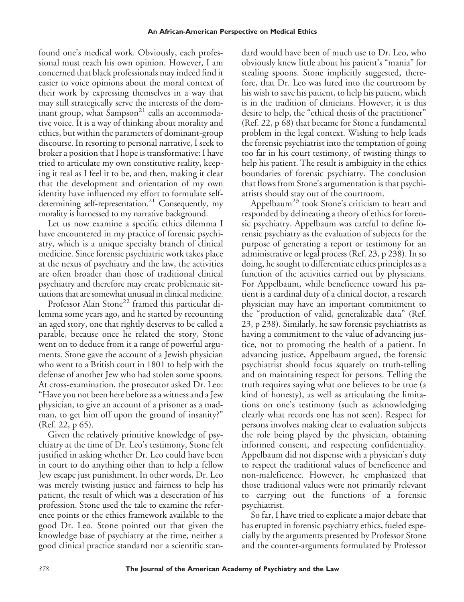found one's medical work. Obviously, each professional must reach his own opinion. However, I am concerned that black professionals may indeed find it easier to voice opinions about the moral context of their work by expressing themselves in a way that may still strategically serve the interests of the dominant group, what  $\text{Sampson}^{21}$  calls an accommodative voice. It is a way of thinking about morality and ethics, but within the parameters of dominant-group discourse. In resorting to personal narrative, I seek to broker a position that I hope is transformative: I have tried to articulate my own constitutive reality, keeping it real as I feel it to be, and then, making it clear that the development and orientation of my own identity have influenced my effort to formulate selfdetermining self-representation.<sup>21</sup> Consequently, my morality is harnessed to my narrative background.

Let us now examine a specific ethics dilemma I have encountered in my practice of forensic psychiatry, which is a unique specialty branch of clinical medicine. Since forensic psychiatric work takes place at the nexus of psychiatry and the law, the activities are often broader than those of traditional clinical psychiatry and therefore may create problematic situations that are somewhat unusual in clinical medicine.

Professor Alan Stone<sup>22</sup> framed this particular dilemma some years ago, and he started by recounting an aged story, one that rightly deserves to be called a parable, because once he related the story, Stone went on to deduce from it a range of powerful arguments. Stone gave the account of a Jewish physician who went to a British court in 1801 to help with the defense of another Jew who had stolen some spoons. At cross-examination, the prosecutor asked Dr. Leo: "Have you not been here before as a witness and a Jew physician, to give an account of a prisoner as a madman, to get him off upon the ground of insanity?" (Ref. 22, p 65).

Given the relatively primitive knowledge of psychiatry at the time of Dr. Leo's testimony, Stone felt justified in asking whether Dr. Leo could have been in court to do anything other than to help a fellow Jew escape just punishment. In other words, Dr. Leo was merely twisting justice and fairness to help his patient, the result of which was a desecration of his profession. Stone used the tale to examine the reference points or the ethics framework available to the good Dr. Leo. Stone pointed out that given the knowledge base of psychiatry at the time, neither a good clinical practice standard nor a scientific standard would have been of much use to Dr. Leo, who obviously knew little about his patient's "mania" for stealing spoons. Stone implicitly suggested, therefore, that Dr. Leo was lured into the courtroom by his wish to save his patient, to help his patient, which is in the tradition of clinicians. However, it is this desire to help, the "ethical thesis of the practitioner" (Ref. 22, p 68) that became for Stone a fundamental problem in the legal context. Wishing to help leads the forensic psychiatrist into the temptation of going too far in his court testimony, of twisting things to help his patient. The result is ambiguity in the ethics boundaries of forensic psychiatry. The conclusion that flows from Stone's argumentation is that psychiatrists should stay out of the courtroom.

Appelbaum<sup>23</sup> took Stone's criticism to heart and responded by delineating a theory of ethics for forensic psychiatry. Appelbaum was careful to define forensic psychiatry as the evaluation of subjects for the purpose of generating a report or testimony for an administrative or legal process (Ref. 23, p 238). In so doing, he sought to differentiate ethics principles as a function of the activities carried out by physicians. For Appelbaum, while beneficence toward his patient is a cardinal duty of a clinical doctor, a research physician may have an important commitment to the "production of valid, generalizable data" (Ref. 23, p 238). Similarly, he saw forensic psychiatrists as having a commitment to the value of advancing justice, not to promoting the health of a patient. In advancing justice, Appelbaum argued, the forensic psychiatrist should focus squarely on truth-telling and on maintaining respect for persons. Telling the truth requires saying what one believes to be true (a kind of honesty), as well as articulating the limitations on one's testimony (such as acknowledging clearly what records one has not seen). Respect for persons involves making clear to evaluation subjects the role being played by the physician, obtaining informed consent, and respecting confidentiality. Appelbaum did not dispense with a physician's duty to respect the traditional values of beneficence and non-maleficence. However, he emphasized that those traditional values were not primarily relevant to carrying out the functions of a forensic psychiatrist.

So far, I have tried to explicate a major debate that has erupted in forensic psychiatry ethics, fueled especially by the arguments presented by Professor Stone and the counter-arguments formulated by Professor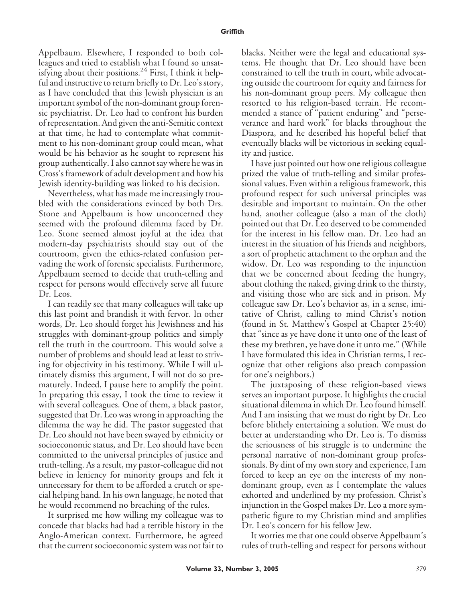Appelbaum. Elsewhere, I responded to both colleagues and tried to establish what I found so unsatisfying about their positions.<sup>24</sup> First, I think it helpful and instructive to return briefly to Dr. Leo's story, as I have concluded that this Jewish physician is an important symbol of the non-dominant group forensic psychiatrist. Dr. Leo had to confront his burden of representation. And given the anti-Semitic context at that time, he had to contemplate what commitment to his non-dominant group could mean, what would be his behavior as he sought to represent his group authentically. I also cannot say where he was in Cross's framework of adult development and how his Jewish identity-building was linked to his decision.

Nevertheless, what has made me increasingly troubled with the considerations evinced by both Drs. Stone and Appelbaum is how unconcerned they seemed with the profound dilemma faced by Dr. Leo. Stone seemed almost joyful at the idea that modern-day psychiatrists should stay out of the courtroom, given the ethics-related confusion pervading the work of forensic specialists. Furthermore, Appelbaum seemed to decide that truth-telling and respect for persons would effectively serve all future Dr. Leos.

I can readily see that many colleagues will take up this last point and brandish it with fervor. In other words, Dr. Leo should forget his Jewishness and his struggles with dominant-group politics and simply tell the truth in the courtroom. This would solve a number of problems and should lead at least to striving for objectivity in his testimony. While I will ultimately dismiss this argument, I will not do so prematurely. Indeed, I pause here to amplify the point. In preparing this essay, I took the time to review it with several colleagues. One of them, a black pastor, suggested that Dr. Leo was wrong in approaching the dilemma the way he did. The pastor suggested that Dr. Leo should not have been swayed by ethnicity or socioeconomic status, and Dr. Leo should have been committed to the universal principles of justice and truth-telling. As a result, my pastor-colleague did not believe in leniency for minority groups and felt it unnecessary for them to be afforded a crutch or special helping hand. In his own language, he noted that he would recommend no breaching of the rules.

It surprised me how willing my colleague was to concede that blacks had had a terrible history in the Anglo-American context. Furthermore, he agreed that the current socioeconomic system was not fair to blacks. Neither were the legal and educational systems. He thought that Dr. Leo should have been constrained to tell the truth in court, while advocating outside the courtroom for equity and fairness for his non-dominant group peers. My colleague then resorted to his religion-based terrain. He recommended a stance of "patient enduring" and "perseverance and hard work" for blacks throughout the Diaspora, and he described his hopeful belief that eventually blacks will be victorious in seeking equality and justice.

I have just pointed out how one religious colleague prized the value of truth-telling and similar professional values. Even within a religious framework, this profound respect for such universal principles was desirable and important to maintain. On the other hand, another colleague (also a man of the cloth) pointed out that Dr. Leo deserved to be commended for the interest in his fellow man. Dr. Leo had an interest in the situation of his friends and neighbors, a sort of prophetic attachment to the orphan and the widow. Dr. Leo was responding to the injunction that we be concerned about feeding the hungry, about clothing the naked, giving drink to the thirsty, and visiting those who are sick and in prison. My colleague saw Dr. Leo's behavior as, in a sense, imitative of Christ, calling to mind Christ's notion (found in St. Matthew's Gospel at Chapter 25:40) that "since as ye have done it unto one of the least of these my brethren, ye have done it unto me." (While I have formulated this idea in Christian terms, I recognize that other religions also preach compassion for one's neighbors.)

The juxtaposing of these religion-based views serves an important purpose. It highlights the crucial situational dilemma in which Dr. Leo found himself. And I am insisting that we must do right by Dr. Leo before blithely entertaining a solution. We must do better at understanding who Dr. Leo is. To dismiss the seriousness of his struggle is to undermine the personal narrative of non-dominant group professionals. By dint of my own story and experience, I am forced to keep an eye on the interests of my nondominant group, even as I contemplate the values exhorted and underlined by my profession. Christ's injunction in the Gospel makes Dr. Leo a more sympathetic figure to my Christian mind and amplifies Dr. Leo's concern for his fellow Jew.

It worries me that one could observe Appelbaum's rules of truth-telling and respect for persons without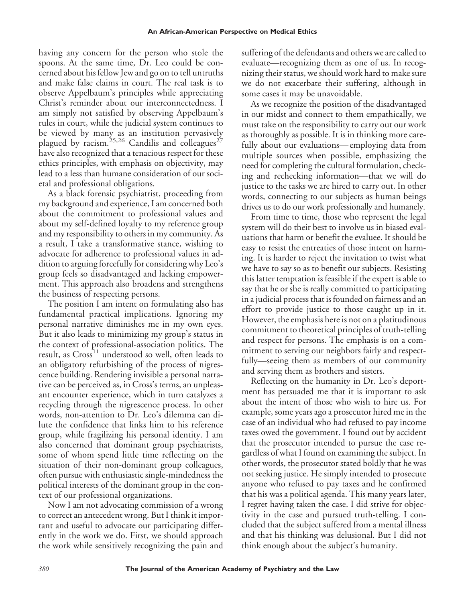having any concern for the person who stole the spoons. At the same time, Dr. Leo could be concerned about his fellow Jew and go on to tell untruths and make false claims in court. The real task is to observe Appelbaum's principles while appreciating Christ's reminder about our interconnectedness. I am simply not satisfied by observing Appelbaum's rules in court, while the judicial system continues to be viewed by many as an institution pervasively plagued by racism.<sup>25,26</sup> Candilis and colleagues<sup>27</sup> have also recognized that a tenacious respect for these ethics principles, with emphasis on objectivity, may lead to a less than humane consideration of our societal and professional obligations.

As a black forensic psychiatrist, proceeding from my background and experience, I am concerned both about the commitment to professional values and about my self-defined loyalty to my reference group and my responsibility to others in my community. As a result, I take a transformative stance, wishing to advocate for adherence to professional values in addition to arguing forcefully for considering why Leo's group feels so disadvantaged and lacking empowerment. This approach also broadens and strengthens the business of respecting persons.

The position I am intent on formulating also has fundamental practical implications. Ignoring my personal narrative diminishes me in my own eyes. But it also leads to minimizing my group's status in the context of professional-association politics. The result, as  $Cross<sup>11</sup>$  understood so well, often leads to an obligatory refurbishing of the process of nigrescence building. Rendering invisible a personal narrative can be perceived as, in Cross's terms, an unpleasant encounter experience, which in turn catalyzes a recycling through the nigrescence process. In other words, non-attention to Dr. Leo's dilemma can dilute the confidence that links him to his reference group, while fragilizing his personal identity. I am also concerned that dominant group psychiatrists, some of whom spend little time reflecting on the situation of their non-dominant group colleagues, often pursue with enthusiastic single-mindedness the political interests of the dominant group in the context of our professional organizations.

Now I am not advocating commission of a wrong to correct an antecedent wrong. But I think it important and useful to advocate our participating differently in the work we do. First, we should approach the work while sensitively recognizing the pain and suffering of the defendants and others we are called to evaluate—recognizing them as one of us. In recognizing their status, we should work hard to make sure we do not exacerbate their suffering, although in some cases it may be unavoidable.

As we recognize the position of the disadvantaged in our midst and connect to them empathically, we must take on the responsibility to carry out our work as thoroughly as possible. It is in thinking more carefully about our evaluations— employing data from multiple sources when possible, emphasizing the need for completing the cultural formulation, checking and rechecking information—that we will do justice to the tasks we are hired to carry out. In other words, connecting to our subjects as human beings drives us to do our work professionally and humanely.

From time to time, those who represent the legal system will do their best to involve us in biased evaluations that harm or benefit the evaluee. It should be easy to resist the entreaties of those intent on harming. It is harder to reject the invitation to twist what we have to say so as to benefit our subjects. Resisting this latter temptation is feasible if the expert is able to say that he or she is really committed to participating in a judicial process that is founded on fairness and an effort to provide justice to those caught up in it. However, the emphasis here is not on a platitudinous commitment to theoretical principles of truth-telling and respect for persons. The emphasis is on a commitment to serving our neighbors fairly and respectfully—seeing them as members of our community and serving them as brothers and sisters.

Reflecting on the humanity in Dr. Leo's deportment has persuaded me that it is important to ask about the intent of those who wish to hire us. For example, some years ago a prosecutor hired me in the case of an individual who had refused to pay income taxes owed the government. I found out by accident that the prosecutor intended to pursue the case regardless of what I found on examining the subject. In other words, the prosecutor stated boldly that he was not seeking justice. He simply intended to prosecute anyone who refused to pay taxes and he confirmed that his was a political agenda. This many years later, I regret having taken the case. I did strive for objectivity in the case and pursued truth-telling. I concluded that the subject suffered from a mental illness and that his thinking was delusional. But I did not think enough about the subject's humanity.